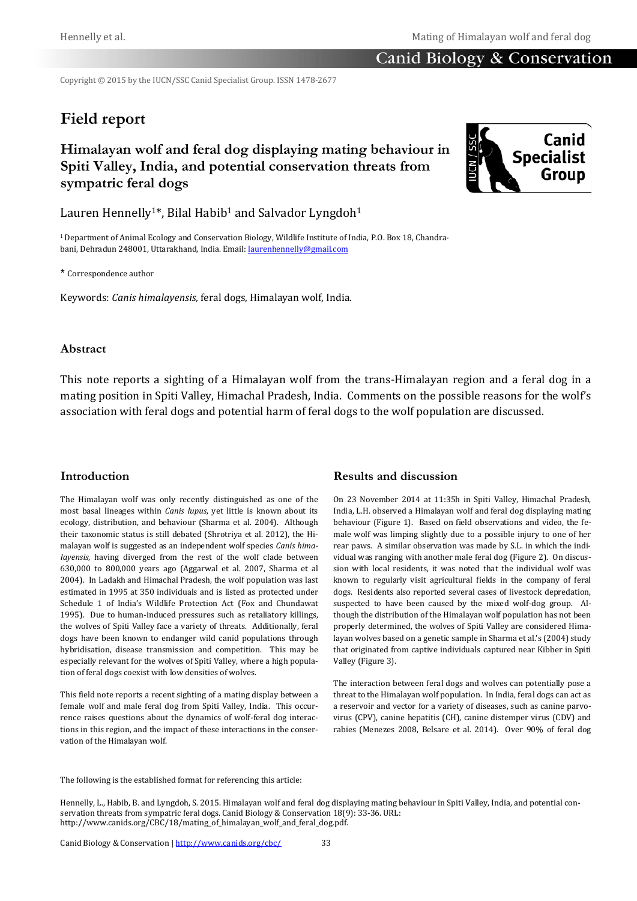### Canid Biology & Conservation

Copyright © 2015 by the IUCN/SSC Canid Specialist Group. ISSN 1478-2677

# **Field report**

## **Himalayan wolf and feral dog displaying mating behaviour in Spiti Valley, India, and potential conservation threats from sympatric feral dogs**

Lauren Hennelly<sup>1\*</sup>, Bilal Habib<sup>1</sup> and Salvador Lyngdoh<sup>1</sup>

1 Department of Animal Ecology and Conservation Biology, Wildlife Institute of India, P.O. Box 18, Chandrabani, Dehradun 248001, Uttarakhand, India. Email: [laurenhennelly@gmail.com](mailto:laurenhennelly@gmail.com)

\* Correspondence author

Keywords: *Canis himalayensis,* feral dogs, Himalayan wolf, India.

#### **Abstract**

This note reports a sighting of a Himalayan wolf from the trans-Himalayan region and a feral dog in a mating position in Spiti Valley, Himachal Pradesh, India. Comments on the possible reasons for the wolf's association with feral dogs and potential harm of feral dogs to the wolf population are discussed.

#### **Introduction**

The Himalayan wolf was only recently distinguished as one of the most basal lineages within *Canis lupus*, yet little is known about its ecology, distribution, and behaviour (Sharma et al. 2004). Although their taxonomic status is still debated (Shrotriya et al. 2012), the Himalayan wolf is suggested as an independent wolf species *Canis himalayensis*, having diverged from the rest of the wolf clade between 630,000 to 800,000 years ago (Aggarwal et al. 2007, Sharma et al 2004). In Ladakh and Himachal Pradesh, the wolf population was last estimated in 1995 at 350 individuals and is listed as protected under Schedule 1 of India's Wildlife Protection Act (Fox and Chundawat 1995). Due to human-induced pressures such as retaliatory killings, the wolves of Spiti Valley face a variety of threats. Additionally, feral dogs have been known to endanger wild canid populations through hybridisation, disease transmission and competition. This may be especially relevant for the wolves of Spiti Valley, where a high population of feral dogs coexist with low densities of wolves.

This field note reports a recent sighting of a mating display between a female wolf and male feral dog from Spiti Valley, India. This occurrence raises questions about the dynamics of wolf-feral dog interactions in this region, and the impact of these interactions in the conservation of the Himalayan wolf.

#### **Results and discussion**

On 23 November 2014 at 11:35h in Spiti Valley, Himachal Pradesh, India, L.H. observed a Himalayan wolf and feral dog displaying mating behaviour (Figure 1). Based on field observations and video, the female wolf was limping slightly due to a possible injury to one of her rear paws. A similar observation was made by S.L. in which the individual was ranging with another male feral dog (Figure 2). On discussion with local residents, it was noted that the individual wolf was known to regularly visit agricultural fields in the company of feral dogs. Residents also reported several cases of livestock depredation, suspected to have been caused by the mixed wolf-dog group. Although the distribution of the Himalayan wolf population has not been properly determined, the wolves of Spiti Valley are considered Himalayan wolves based on a genetic sample in Sharma et al.'s (2004) study that originated from captive individuals captured near Kibber in Spiti Valley (Figure 3).

The interaction between feral dogs and wolves can potentially pose a threat to the Himalayan wolf population. In India, feral dogs can act as a reservoir and vector for a variety of diseases, such as canine parvovirus (CPV), canine hepatitis (CH), canine distemper virus (CDV) and rabies (Menezes 2008, Belsare et al. 2014). Over 90% of feral dog

The following is the established format for referencing this article:

Hennelly, L., Habib, B. and Lyngdoh, S. 2015. Himalayan wolf and feral dog displaying mating behaviour in Spiti Valley, India, and potential conservation threats from sympatric feral dogs. Canid Biology & Conservation 18(9): 33-36. URL: http://www.canids.org/CBC/18/mating\_of\_himalayan\_wolf\_and\_feral\_dog.pdf.

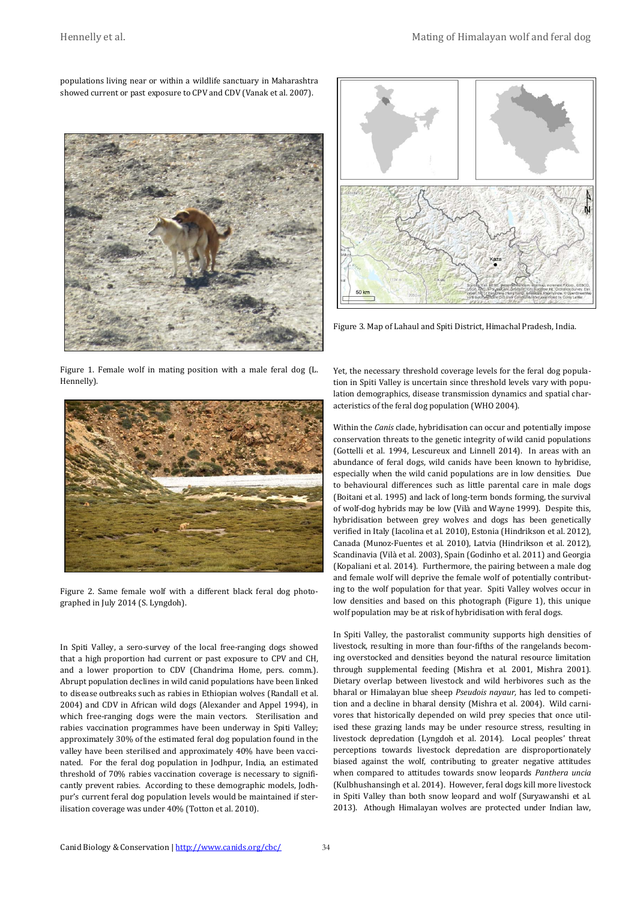populations living near or within a wildlife sanctuary in Maharashtra showed current or past exposure to CPV and CDV (Vanak et al. 2007).



Figure 1. Female wolf in mating position with a male feral dog (L. Hennelly).



Figure 2. Same female wolf with a different black feral dog photographed in July 2014 (S. Lyngdoh).

In Spiti Valley, a sero-survey of the local free-ranging dogs showed that a high proportion had current or past exposure to CPV and CH, and a lower proportion to CDV (Chandrima Home, pers. comm.). Abrupt population declines in wild canid populations have been linked to disease outbreaks such as rabies in Ethiopian wolves (Randall et al. 2004) and CDV in African wild dogs (Alexander and Appel 1994), in which free-ranging dogs were the main vectors. Sterilisation and rabies vaccination programmes have been underway in Spiti Valley; approximately 30% of the estimated feral dog population found in the valley have been sterilised and approximately 40% have been vaccinated. For the feral dog population in Jodhpur, India, an estimated threshold of 70% rabies vaccination coverage is necessary to significantly prevent rabies. According to these demographic models, Jodhpur's current feral dog population levels would be maintained if sterilisation coverage was under 40% (Totton et al. 2010).



Figure 3. Map of Lahaul and Spiti District, Himachal Pradesh, India.

Yet, the necessary threshold coverage levels for the feral dog population in Spiti Valley is uncertain since threshold levels vary with population demographics, disease transmission dynamics and spatial characteristics of the feral dog population (WHO 2004).

Within the *Canis* clade, hybridisation can occur and potentially impose conservation threats to the genetic integrity of wild canid populations (Gottelli et al. 1994, Lescureux and Linnell 2014). In areas with an abundance of feral dogs, wild canids have been known to hybridise, especially when the wild canid populations are in low densities. Due to behavioural differences such as little parental care in male dogs (Boitani et al. 1995) and lack of long-term bonds forming, the survival of wolf-dog hybrids may be low (Vilà and Wayne 1999). Despite this, hybridisation between grey wolves and dogs has been genetically verified in Italy (Iacolina et al. 2010), Estonia (Hindrikson et al. 2012), Canada (Munoz-Fuentes et al. 2010), Latvia (Hindrikson et al. 2012), Scandinavia (Vilà et al. 2003), Spain (Godinho et al. 2011) and Georgia (Kopaliani et al. 2014). Furthermore, the pairing between a male dog and female wolf will deprive the female wolf of potentially contributing to the wolf population for that year. Spiti Valley wolves occur in low densities and based on this photograph (Figure 1), this unique wolf population may be at risk of hybridisation with feral dogs.

In Spiti Valley, the pastoralist community supports high densities of livestock, resulting in more than four-fifths of the rangelands becoming overstocked and densities beyond the natural resource limitation through supplemental feeding (Mishra et al. 2001, Mishra 2001). Dietary overlap between livestock and wild herbivores such as the bharal or Himalayan blue sheep *Pseudois nayaur,* has led to competition and a decline in bharal density (Mishra et al. 2004). Wild carnivores that historically depended on wild prey species that once utilised these grazing lands may be under resource stress, resulting in livestock depredation (Lyngdoh et al. 2014). Local peoples' threat perceptions towards livestock depredation are disproportionately biased against the wolf, contributing to greater negative attitudes when compared to attitudes towards snow leopards *Panthera uncia* (Kulbhushansingh et al. 2014). However, feral dogs kill more livestock in Spiti Valley than both snow leopard and wolf (Suryawanshi et al. 2013). Athough Himalayan wolves are protected under Indian law,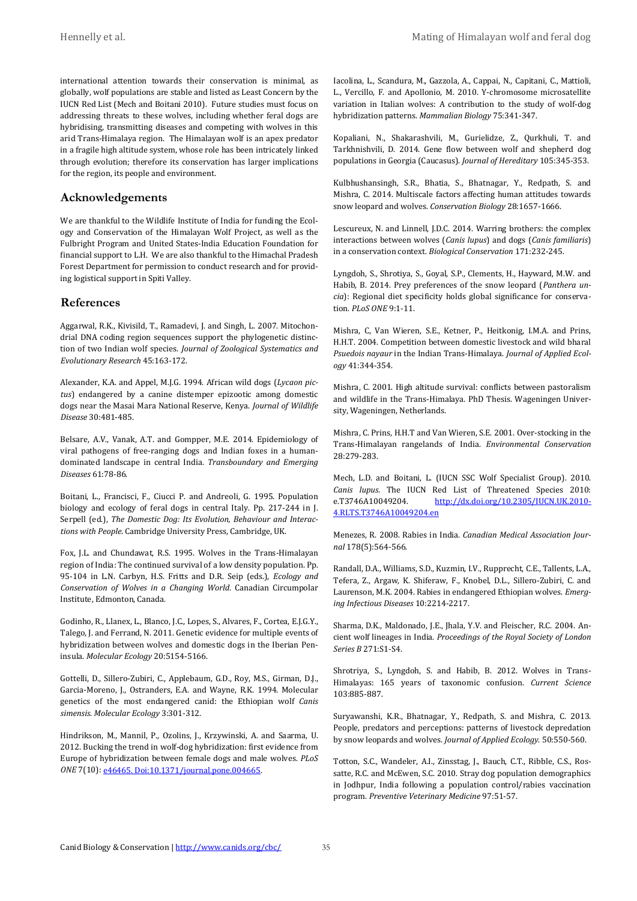international attention towards their conservation is minimal, as globally, wolf populations are stable and listed as Least Concern by the IUCN Red List (Mech and Boitani 2010). Future studies must focus on addressing threats to these wolves, including whether feral dogs are hybridising, transmitting diseases and competing with wolves in this arid Trans-Himalaya region. The Himalayan wolf is an apex predator in a fragile high altitude system, whose role has been intricately linked through evolution; therefore its conservation has larger implications for the region, its people and environment.

#### **Acknowledgements**

We are thankful to the Wildlife Institute of India for funding the Ecology and Conservation of the Himalayan Wolf Project, as well as the Fulbright Program and United States-India Education Foundation for financial support to L.H. We are also thankful to the Himachal Pradesh Forest Department for permission to conduct research and for providing logistical support in Spiti Valley.

#### **References**

Aggarwal, R.K., Kivisild, T., Ramadevi, J. and Singh, L. 2007. Mitochondrial DNA coding region sequences support the phylogenetic distinction of two Indian wolf species. *Journal of Zoological Systematics and Evolutionary Research* 45:163-172.

Alexander, K.A. and Appel, M.J.G. 1994. African wild dogs (*Lycaon pictus*) endangered by a canine distemper epizootic among domestic dogs near the Masai Mara National Reserve, Kenya. *Journal of Wildlife Disease* 30:481-485.

Belsare, A.V., Vanak, A.T. and Gompper, M.E. 2014. Epidemiology of viral pathogens of free-ranging dogs and Indian foxes in a humandominated landscape in central India. *Transboundary and Emerging Diseases* 61:78-86.

Boitani, L., Francisci, F., Ciucci P. and Andreoli, G. 1995. Population biology and ecology of feral dogs in central Italy. Pp. 217-244 in J. Serpell (ed.), *The Domestic Dog: Its Evolution, Behaviour and Interactions with People*. Cambridge University Press, Cambridge, UK.

Fox, J.L. and Chundawat, R.S. 1995. Wolves in the Trans-Himalayan region of India: The continued survival of a low density population. Pp. 95-104 in L.N. Carbyn, H.S. Fritts and D.R. Seip (eds.), *Ecology and Conservation of Wolves in a Changing World*. Canadian Circumpolar Institute, Edmonton, Canada.

Godinho, R., Llanex, L., Blanco, J.C., Lopes, S., Alvares, F., Cortea, E.J.G.Y., Talego, J. and Ferrand, N. 2011. Genetic evidence for multiple events of hybridization between wolves and domestic dogs in the Iberian Peninsula. *Molecular Ecology* 20:5154-5166.

Gottelli, D., Sillero-Zubiri, C., Applebaum, G.D., Roy, M.S., Girman, D.J., Garcia-Moreno, J., Ostranders, E.A. and Wayne, R.K. 1994. Molecular genetics of the most endangered canid: the Ethiopian wolf *Canis simensis*. *Molecular Ecology* 3:301-312.

Hindrikson, M., Mannil, P., Ozolins, J., Krzywinski, A. and Saarma, U. 2012. Bucking the trend in wolf-dog hybridization: first evidence from Europe of hybridization between female dogs and male wolves. *PLoS ONE* 7(10): e46465. Doi:10.1371/journal.pone.004665.

Iacolina, L., Scandura, M., Gazzola, A., Cappai, N., Capitani, C., Mattioli, L., Vercillo, F. and Apollonio, M. 2010. Y-chromosome microsatellite variation in Italian wolves: A contribution to the study of wolf-dog hybridization patterns. *Mammalian Biology* 75:341-347.

Kopaliani, N., Shakarashvili, M., Gurielidze, Z., Qurkhuli, T. and Tarkhnishvili, D. 2014. Gene flow between wolf and shepherd dog populations in Georgia (Caucasus). *Journal of Hereditary* 105:345-353.

Kulbhushansingh, S.R., Bhatia, S., Bhatnagar, Y., Redpath, S. and Mishra, C. 2014. Multiscale factors affecting human attitudes towards snow leopard and wolves. *Conservation Biology* 28:1657-1666.

Lescureux, N. and Linnell, J.D.C. 2014. Warring brothers: the complex interactions between wolves (*Canis lupus*) and dogs (*Canis familiaris*) in a conservation context. *Biological Conservation* 171:232-245.

Lyngdoh, S., Shrotiya, S., Goyal, S.P., Clements, H., Hayward, M.W. and Habib, B. 2014. Prey preferences of the snow leopard (*Panthera uncia*): Regional diet specificity holds global significance for conservation. *PLoS ONE* 9:1-11.

Mishra, C, Van Wieren, S.E., Ketner, P., Heitkonig, I.M.A. and Prins, H.H.T. 2004. Competition between domestic livestock and wild bharal *Psuedois nayaur* in the Indian Trans-Himalaya. *Journal of Applied Ecology* 41:344-354.

Mishra, C. 2001. High altitude survival: conflicts between pastoralism and wildlife in the Trans-Himalaya. PhD Thesis. Wageningen University, Wageningen, Netherlands.

Mishra, C. Prins, H.H.T and Van Wieren, S.E. 2001. Over-stocking in the Trans-Himalayan rangelands of India. *Environmental Conservation* 28:279-283.

Mech, L.D. and Boitani, L. (IUCN SSC Wolf Specialist Group). 2010. *Canis lupus*. The IUCN Red List of Threatened Species 2010:<br>e.T3746A10049204. http://dx.doi.org/10.2305/IUCN.UK.2010[http://dx.doi.org/10.2305/IUCN.UK.2010-](http://www.iucnredlist.org/details/3746/0) [4.RLTS.T3746A10049204.en](http://www.iucnredlist.org/details/3746/0)

Menezes, R. 2008. Rabies in India. *Canadian Medical Association Journal* 178(5):564-566.

Randall, D.A., Williams, S.D., Kuzmin, I.V., Rupprecht, C.E., Tallents, L.A., Tefera, Z., Argaw, K. Shiferaw, F., Knobel, D.L., Sillero-Zubiri, C. and Laurenson, M.K. 2004. Rabies in endangered Ethiopian wolves. *Emerging Infectious Diseases* 10:2214-2217.

Sharma, D.K., Maldonado, J.E., Jhala, Y.V. and Fleischer, R.C. 2004. Ancient wolf lineages in India. *Proceedings of the Royal Society of London Series B* 271:S1-S4.

Shrotriya, S., Lyngdoh, S. and Habib, B. 2012. Wolves in Trans-Himalayas: 165 years of taxonomic confusion. *Current Science* 103:885-887.

Suryawanshi, K.R., Bhatnagar, Y., Redpath, S. and Mishra, C. 2013. People, predators and perceptions: patterns of livestock depredation by snow leopards and wolves. *Journal of Applied Ecology*. 50:550-560.

Totton, S.C., Wandeler, A.I., Zinsstag, J., Bauch, C.T., Ribble, C.S., Rossatte, R.C. and McEwen, S.C. 2010. Stray dog population demographics in Jodhpur, India following a population control/rabies vaccination program. *Preventive Veterinary Medicine* 97:51-57.